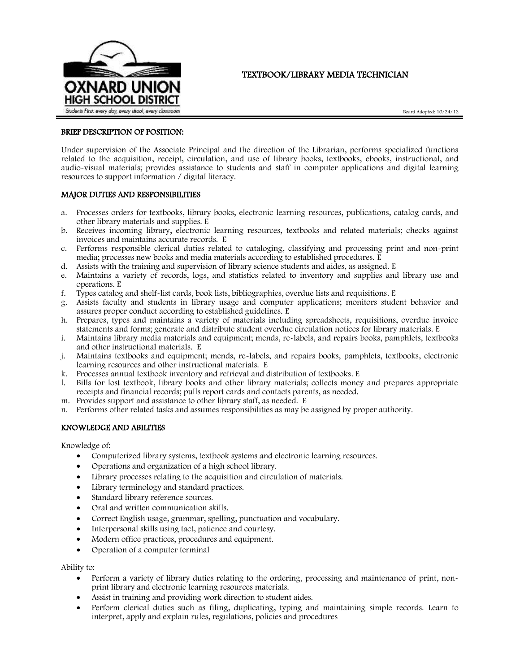

# TEXTBOOK/LIBRARY MEDIA TECHNICIAN

Board Adopted: 10/24/12

# BRIEF DESCRIPTION OF POSITION:

Under supervision of the Associate Principal and the direction of the Librarian, performs specialized functions related to the acquisition, receipt, circulation, and use of library books, textbooks, ebooks, instructional, and audio-visual materials; provides assistance to students and staff in computer applications and digital learning resources to support information / digital literacy.

### MAJOR DUTIES AND RESPONSIBILITIES

- a. Processes orders for textbooks, library books, electronic learning resources, publications, catalog cards, and other library materials and supplies. E
- b. Receives incoming library, electronic learning resources, textbooks and related materials; checks against invoices and maintains accurate records. E
- c. Performs responsible clerical duties related to cataloging, classifying and processing print and non-print media; processes new books and media materials according to established procedures. E
- d. Assists with the training and supervision of library science students and aides, as assigned. E
- e. Maintains a variety of records, logs, and statistics related to inventory and supplies and library use and operations. E
- f. Types catalog and shelf-list cards, book lists, bibliographies, overdue lists and requisitions. E
- g. Assists faculty and students in library usage and computer applications; monitors student behavior and assures proper conduct according to established guidelines. E
- h. Prepares, types and maintains a variety of materials including spreadsheets, requisitions, overdue invoice statements and forms; generate and distribute student overdue circulation notices for library materials. E
- i. Maintains library media materials and equipment; mends, re-labels, and repairs books, pamphlets, textbooks and other instructional materials. E
- j. Maintains textbooks and equipment; mends, re-labels, and repairs books, pamphlets, textbooks, electronic learning resources and other instructional materials. E
- k. Processes annual textbook inventory and retrieval and distribution of textbooks. E
- l. Bills for lost textbook, library books and other library materials; collects money and prepares appropriate receipts and financial records; pulls report cards and contacts parents, as needed.
- m. Provides support and assistance to other library staff, as needed. E
- n. Performs other related tasks and assumes responsibilities as may be assigned by proper authority.

# KNOWLEDGE AND ABILITIES

Knowledge of:

- Computerized library systems, textbook systems and electronic learning resources.
- Operations and organization of a high school library.
- Library processes relating to the acquisition and circulation of materials.
- Library terminology and standard practices.
- Standard library reference sources.
- Oral and written communication skills.
- Correct English usage, grammar, spelling, punctuation and vocabulary.
- Interpersonal skills using tact, patience and courtesy.
- Modern office practices, procedures and equipment.
- Operation of a computer terminal

Ability to:

- Perform a variety of library duties relating to the ordering, processing and maintenance of print, nonprint library and electronic learning resources materials.
- Assist in training and providing work direction to student aides.
- Perform clerical duties such as filing, duplicating, typing and maintaining simple records. Learn to interpret, apply and explain rules, regulations, policies and procedures